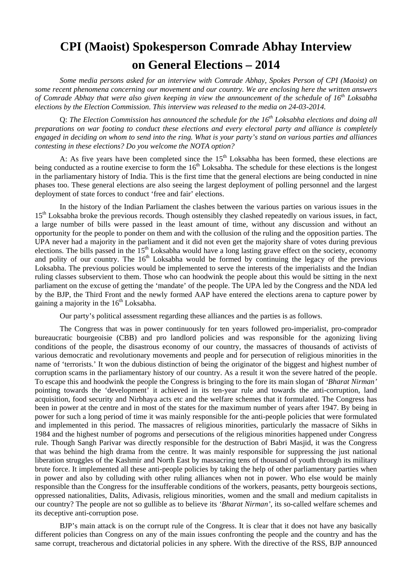# **CPI (Maoist) Spokesperson Comrade Abhay Interview on General Elections – 2014**

*Some media persons asked for an interview with Comrade Abhay, Spokes Person of CPI (Maoist) on some recent phenomena concerning our movement and our country. We are enclosing here the written answers*  of Comrade Abhay that were also given keeping in view the announcement of the schedule of 16<sup>th</sup> Loksabha *elections by the Election Commission. This interview was released to the media on 24-03-2014.* 

Q: *The Election Commission has announced the schedule for the 16th Loksabha elections and doing all preparations on war footing to conduct these elections and every electoral party and alliance is completely engaged in deciding on whom to send into the ring. What is your party's stand on various parties and alliances contesting in these elections? Do you welcome the NOTA option?* 

A: As five years have been completed since the  $15<sup>th</sup>$  Loksabha has been formed, these elections are being conducted as a routine exercise to form the 16<sup>th</sup> Loksabha. The schedule for these elections is the longest in the parliamentary history of India. This is the first time that the general elections are being conducted in nine phases too. These general elections are also seeing the largest deployment of polling personnel and the largest deployment of state forces to conduct 'free and fair' elections.

In the history of the Indian Parliament the clashes between the various parties on various issues in the 15<sup>th</sup> Loksabha broke the previous records. Though ostensibly they clashed repeatedly on various issues, in fact, a large number of bills were passed in the least amount of time, without any discussion and without an opportunity for the people to ponder on them and with the collusion of the ruling and the opposition parties. The UPA never had a majority in the parliament and it did not even get the majority share of votes during previous elections. The bills passed in the 15<sup>th</sup> Loksabha would have a long lasting grave effect on the society, economy and polity of our country. The  $16<sup>th</sup>$  Loksabha would be formed by continuing the legacy of the previous Loksabha. The previous policies would be implemented to serve the interests of the imperialists and the Indian ruling classes subservient to them. Those who can hoodwink the people about this would be sitting in the next parliament on the excuse of getting the 'mandate' of the people. The UPA led by the Congress and the NDA led by the BJP, the Third Front and the newly formed AAP have entered the elections arena to capture power by gaining a majority in the  $16<sup>th</sup>$  Loksabha.

Our party's political assessment regarding these alliances and the parties is as follows.

The Congress that was in power continuously for ten years followed pro-imperialist, pro-comprador bureaucratic bourgeoisie (CBB) and pro landlord policies and was responsible for the agonizing living conditions of the people, the disastrous economy of our country, the massacres of thousands of activists of various democratic and revolutionary movements and people and for persecution of religious minorities in the name of 'terrorists.' It won the dubious distinction of being the originator of the biggest and highest number of corruption scams in the parliamentary history of our country. As a result it won the severe hatred of the people. To escape this and hoodwink the people the Congress is bringing to the fore its main slogan of *'Bharat Nirman'* pointing towards the 'development' it achieved in its ten-year rule and towards the anti-corruption, land acquisition, food security and Nirbhaya acts etc and the welfare schemes that it formulated. The Congress has been in power at the centre and in most of the states for the maximum number of years after 1947. By being in power for such a long period of time it was mainly responsible for the anti-people policies that were formulated and implemented in this period. The massacres of religious minorities, particularly the massacre of Sikhs in 1984 and the highest number of pogroms and persecutions of the religious minorities happened under Congress rule. Though Sangh Parivar was directly responsible for the destruction of Babri Masjid, it was the Congress that was behind the high drama from the centre. It was mainly responsible for suppressing the just national liberation struggles of the Kashmir and North East by massacring tens of thousand of youth through its military brute force. It implemented all these anti-people policies by taking the help of other parliamentary parties when in power and also by colluding with other ruling alliances when not in power. Who else would be mainly responsible than the Congress for the insufferable conditions of the workers, peasants, petty bourgeois sections, oppressed nationalities, Dalits, Adivasis, religious minorities, women and the small and medium capitalists in our country? The people are not so gullible as to believe its *'Bharat Nirman'*, its so-called welfare schemes and its deceptive anti-corruption pose.

BJP's main attack is on the corrupt rule of the Congress. It is clear that it does not have any basically different policies than Congress on any of the main issues confronting the people and the country and has the same corrupt, treacherous and dictatorial policies in any sphere. With the directive of the RSS, BJP announced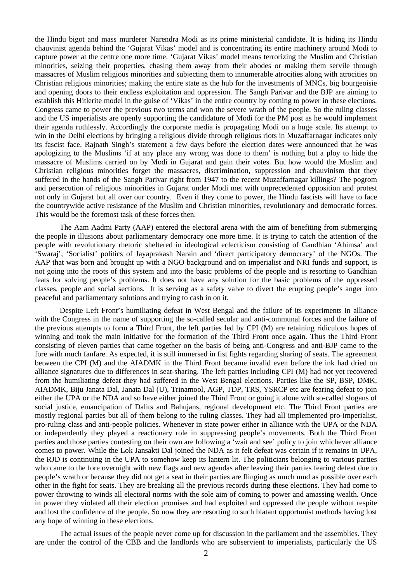the Hindu bigot and mass murderer Narendra Modi as its prime ministerial candidate. It is hiding its Hindu chauvinist agenda behind the 'Gujarat Vikas' model and is concentrating its entire machinery around Modi to capture power at the centre one more time. 'Gujarat Vikas' model means terrorizing the Muslim and Christian minorities, seizing their properties, chasing them away from their abodes or making them servile through massacres of Muslim religious minorities and subjecting them to innumerable atrocities along with atrocities on Christian religious minorities; making the entire state as the hub for the investments of MNCs, big bourgeoisie and opening doors to their endless exploitation and oppression. The Sangh Parivar and the BJP are aiming to establish this Hitlerite model in the guise of 'Vikas' in the entire country by coming to power in these elections. Congress came to power the previous two terms and won the severe wrath of the people. So the ruling classes and the US imperialists are openly supporting the candidature of Modi for the PM post as he would implement their agenda ruthlessly. Accordingly the corporate media is propagating Modi on a huge scale. Its attempt to win in the Delhi elections by bringing a religious divide through religious riots in Muzaffarnagar indicates only its fascist face. Rajnath Singh's statement a few days before the election dates were announced that he was apologizing to the Muslims 'if at any place any wrong was done to them' is nothing but a ploy to hide the massacre of Muslims carried on by Modi in Gujarat and gain their votes. But how would the Muslim and Christian religious minorities forget the massacres, discrimination, suppression and chauvinism that they suffered in the hands of the Sangh Parivar right from 1947 to the recent Muzaffarnagar killings? The pogrom and persecution of religious minorities in Gujarat under Modi met with unprecedented opposition and protest not only in Gujarat but all over our country. Even if they come to power, the Hindu fascists will have to face the countrywide active resistance of the Muslim and Christian minorities, revolutionary and democratic forces. This would be the foremost task of these forces then.

The Aam Aadmi Party (AAP) entered the electoral arena with the aim of benefiting from submerging the people in illusions about parliamentary democracy one more time. It is trying to catch the attention of the people with revolutionary rhetoric sheltered in ideological eclecticism consisting of Gandhian 'Ahimsa' and 'Swaraj', 'Socialist' politics of Jayaprakash Narain and 'direct participatory democracy' of the NGOs. The AAP that was born and brought up with a NGO background and on imperialist and NRI funds and support, is not going into the roots of this system and into the basic problems of the people and is resorting to Gandhian feats for solving people's problems. It does not have any solution for the basic problems of the oppressed classes, people and social sections. It is serving as a safety valve to divert the erupting people's anger into peaceful and parliamentary solutions and trying to cash in on it.

Despite Left Front's humiliating defeat in West Bengal and the failure of its experiments in alliance with the Congress in the name of supporting the so-called secular and anti-communal forces and the failure of the previous attempts to form a Third Front, the left parties led by CPI (M) are retaining ridiculous hopes of winning and took the main initiative for the formation of the Third Front once again. Thus the Third Front consisting of eleven parties that came together on the basis of being anti-Congress and anti-BJP came to the fore with much fanfare. As expected, it is still immersed in fist fights regarding sharing of seats. The agreement between the CPI (M) and the AIADMK in the Third Front became invalid even before the ink had dried on alliance signatures due to differences in seat-sharing. The left parties including CPI (M) had not yet recovered from the humiliating defeat they had suffered in the West Bengal elections. Parties like the SP, BSP, DMK, AIADMK, Biju Janata Dal, Janata Dal (U), Trinamool, AGP, TDP, TRS, YSRCP etc are fearing defeat to join either the UPA or the NDA and so have either joined the Third Front or going it alone with so-called slogans of social justice, emancipation of Dalits and Bahujans, regional development etc. The Third Front parties are mostly regional parties but all of them belong to the ruling classes. They had all implemented pro-imperialist, pro-ruling class and anti-people policies. Whenever in state power either in alliance with the UPA or the NDA or independently they played a reactionary role in suppressing people's movements. Both the Third Front parties and those parties contesting on their own are following a 'wait and see' policy to join whichever alliance comes to power. While the Lok Jansakti Dal joined the NDA as it felt defeat was certain if it remains in UPA, the RJD is continuing in the UPA to somehow keep its lantern lit. The politicians belonging to various parties who came to the fore overnight with new flags and new agendas after leaving their parties fearing defeat due to people's wrath or because they did not get a seat in their parties are flinging as much mud as possible over each other in the fight for seats. They are breaking all the previous records during these elections. They had come to power throwing to winds all electoral norms with the sole aim of coming to power and amassing wealth. Once in power they violated all their election promises and had exploited and oppressed the people without respite and lost the confidence of the people. So now they are resorting to such blatant opportunist methods having lost any hope of winning in these elections.

The actual issues of the people never come up for discussion in the parliament and the assemblies. They are under the control of the CBB and the landlords who are subservient to imperialists, particularly the US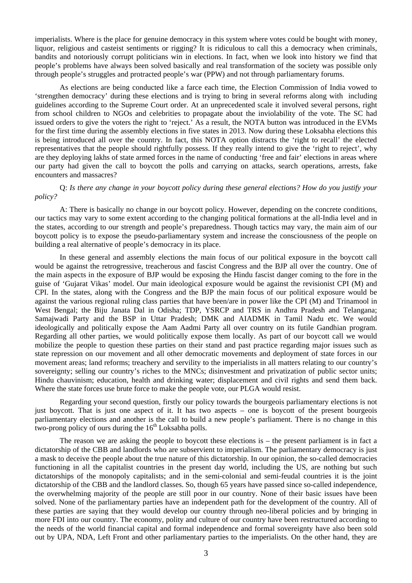imperialists. Where is the place for genuine democracy in this system where votes could be bought with money, liquor, religious and casteist sentiments or rigging? It is ridiculous to call this a democracy when criminals, bandits and notoriously corrupt politicians win in elections. In fact, when we look into history we find that people's problems have always been solved basically and real transformation of the society was possible only through people's struggles and protracted people's war (PPW) and not through parliamentary forums.

As elections are being conducted like a farce each time, the Election Commission of India vowed to 'strengthen democracy' during these elections and is trying to bring in several reforms along with including guidelines according to the Supreme Court order. At an unprecedented scale it involved several persons, right from school children to NGOs and celebrities to propagate about the inviolability of the vote. The SC had issued orders to give the voters the right to 'reject.' As a result, the NOTA button was introduced in the EVMs for the first time during the assembly elections in five states in 2013. Now during these Loksabha elections this is being introduced all over the country. In fact, this NOTA option distracts the 'right to recall' the elected representatives that the people should rightfully possess. If they really intend to give the 'right to reject', why are they deploying lakhs of state armed forces in the name of conducting 'free and fair' elections in areas where our party had given the call to boycott the polls and carrying on attacks, search operations, arrests, fake encounters and massacres?

## Q: *Is there any change in your boycott policy during these general elections? How do you justify your policy?*

A: There is basically no change in our boycott policy. However, depending on the concrete conditions, our tactics may vary to some extent according to the changing political formations at the all-India level and in the states, according to our strength and people's preparedness. Though tactics may vary, the main aim of our boycott policy is to expose the pseudo-parliamentary system and increase the consciousness of the people on building a real alternative of people's democracy in its place.

In these general and assembly elections the main focus of our political exposure in the boycott call would be against the retrogressive, treacherous and fascist Congress and the BJP all over the country. One of the main aspects in the exposure of BJP would be exposing the Hindu fascist danger coming to the fore in the guise of 'Gujarat Vikas' model. Our main ideological exposure would be against the revisionist CPI (M) and CPI. In the states, along with the Congress and the BJP the main focus of our political exposure would be against the various regional ruling class parties that have been/are in power like the CPI (M) and Trinamool in West Bengal; the Biju Janata Dal in Odisha; TDP, YSRCP and TRS in Andhra Pradesh and Telangana; Samajwadi Party and the BSP in Uttar Pradesh; DMK and AIADMK in Tamil Nadu etc. We would ideologically and politically expose the Aam Aadmi Party all over country on its futile Gandhian program. Regarding all other parties, we would politically expose them locally. As part of our boycott call we would mobilize the people to question these parties on their stand and past practice regarding major issues such as state repression on our movement and all other democratic movements and deployment of state forces in our movement areas; land reforms; treachery and servility to the imperialists in all matters relating to our country's sovereignty; selling our country's riches to the MNCs; disinvestment and privatization of public sector units; Hindu chauvinism; education, health and drinking water; displacement and civil rights and send them back. Where the state forces use brute force to make the people vote, our PLGA would resist.

Regarding your second question, firstly our policy towards the bourgeois parliamentary elections is not just boycott. That is just one aspect of it. It has two aspects – one is boycott of the present bourgeois parliamentary elections and another is the call to build a new people's parliament. There is no change in this two-prong policy of ours during the  $16<sup>th</sup>$  Loksabha polls.

The reason we are asking the people to boycott these elections is – the present parliament is in fact a dictatorship of the CBB and landlords who are subservient to imperialism. The parliamentary democracy is just a mask to deceive the people about the true nature of this dictatorship. In our opinion, the so-called democracies functioning in all the capitalist countries in the present day world, including the US, are nothing but such dictatorships of the monopoly capitalists; and in the semi-colonial and semi-feudal countries it is the joint dictatorship of the CBB and the landlord classes. So, though 65 years have passed since so-called independence, the overwhelming majority of the people are still poor in our country. None of their basic issues have been solved. None of the parliamentary parties have an independent path for the development of the country. All of these parties are saying that they would develop our country through neo-liberal policies and by bringing in more FDI into our country. The economy, polity and culture of our country have been restructured according to the needs of the world financial capital and formal independence and formal sovereignty have also been sold out by UPA, NDA, Left Front and other parliamentary parties to the imperialists. On the other hand, they are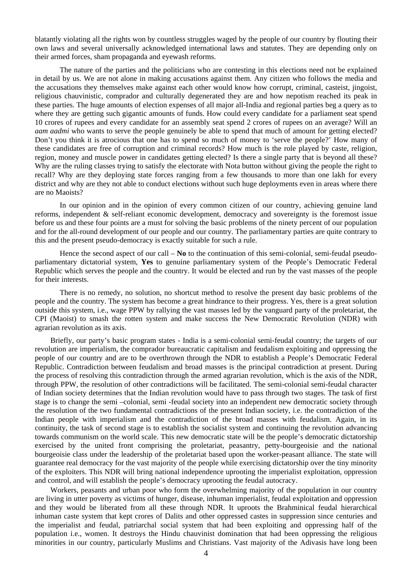blatantly violating all the rights won by countless struggles waged by the people of our country by flouting their own laws and several universally acknowledged international laws and statutes. They are depending only on their armed forces, sham propaganda and eyewash reforms.

The nature of the parties and the politicians who are contesting in this elections need not be explained in detail by us. We are not alone in making accusations against them. Any citizen who follows the media and the accusations they themselves make against each other would know how corrupt, criminal, casteist, jingoist, religious chauvinistic, comprador and culturally degenerated they are and how nepotism reached its peak in these parties. The huge amounts of election expenses of all major all-India and regional parties beg a query as to where they are getting such gigantic amounts of funds. How could every candidate for a parliament seat spend 10 crores of rupees and every candidate for an assembly seat spend 2 crores of rupees on an average? Will an *aam aadmi* who wants to serve the people genuinely be able to spend that much of amount for getting elected? Don't you think it is atrocious that one has to spend so much of money to 'serve the people?' How many of these candidates are free of corruption and criminal records? How much is the role played by caste, religion, region, money and muscle power in candidates getting elected? Is there a single party that is beyond all these? Why are the ruling classes trying to satisfy the electorate with Nota button without giving the people the right to recall? Why are they deploying state forces ranging from a few thousands to more than one lakh for every district and why are they not able to conduct elections without such huge deployments even in areas where there are no Maoists?

In our opinion and in the opinion of every common citizen of our country, achieving genuine land reforms, independent & self-reliant economic development, democracy and sovereignty is the foremost issue before us and these four points are a must for solving the basic problems of the ninety percent of our population and for the all-round development of our people and our country. The parliamentary parties are quite contrary to this and the present pseudo-democracy is exactly suitable for such a rule.

Hence the second aspect of our call – **No** to the continuation of this semi-colonial, semi-feudal pseudoparliamentary dictatorial system, **Yes** to genuine parliamentary system of the People's Democratic Federal Republic which serves the people and the country. It would be elected and run by the vast masses of the people for their interests.

There is no remedy, no solution, no shortcut method to resolve the present day basic problems of the people and the country. The system has become a great hindrance to their progress. Yes, there is a great solution outside this system, i.e., wage PPW by rallying the vast masses led by the vanguard party of the proletariat, the CPI (Maoist) to smash the rotten system and make success the New Democratic Revolution (NDR) with agrarian revolution as its axis.

Briefly, our party's basic program states - India is a semi-colonial semi-feudal country; the targets of our revolution are imperialism, the comprador bureaucratic capitalism and feudalism exploiting and oppressing the people of our country and are to be overthrown through the NDR to establish a People's Democratic Federal Republic. Contradiction between feudalism and broad masses is the principal contradiction at present. During the process of resolving this contradiction through the armed agrarian revolution, which is the axis of the NDR, through PPW, the resolution of other contradictions will be facilitated. The semi-colonial semi-feudal character of Indian society determines that the Indian revolution would have to pass through two stages. The task of first stage is to change the semi –colonial, semi -feudal society into an independent new democratic society through the resolution of the two fundamental contradictions of the present Indian society, i.e. the contradiction of the Indian people with imperialism and the contradiction of the broad masses with feudalism. Again, in its continuity, the task of second stage is to establish the socialist system and continuing the revolution advancing towards communism on the world scale. This new democratic state will be the people's democratic dictatorship exercised by the united front comprising the proletariat, peasantry, petty-bourgeoisie and the national bourgeoisie class under the leadership of the proletariat based upon the worker-peasant alliance. The state will guarantee real democracy for the vast majority of the people while exercising dictatorship over the tiny minority of the exploiters. This NDR will bring national independence uprooting the imperialist exploitation, oppression and control, and will establish the people's democracy uprooting the feudal autocracy.

Workers, peasants and urban poor who form the overwhelming majority of the population in our country are living in utter poverty as victims of hunger, disease, inhuman imperialist, feudal exploitation and oppression and they would be liberated from all these through NDR. It uproots the Brahminical feudal hierarchical inhuman caste system that kept crores of Dalits and other oppressed castes in suppression since centuries and the imperialist and feudal, patriarchal social system that had been exploiting and oppressing half of the population i.e., women. It destroys the Hindu chauvinist domination that had been oppressing the religious minorities in our country, particularly Muslims and Christians. Vast majority of the Adivasis have long been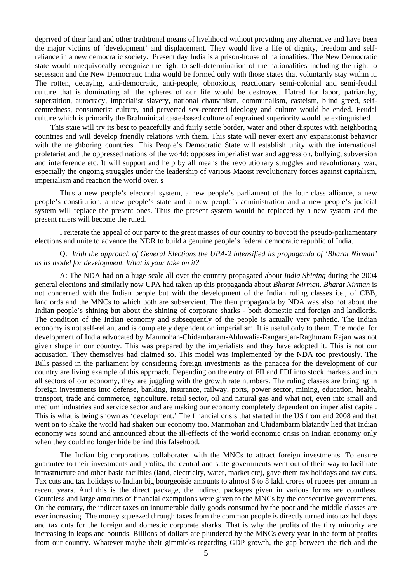deprived of their land and other traditional means of livelihood without providing any alternative and have been the major victims of 'development' and displacement. They would live a life of dignity, freedom and selfreliance in a new democratic society. Present day India is a prison-house of nationalities. The New Democratic state would unequivocally recognize the right to self-determination of the nationalities including the right to secession and the New Democratic India would be formed only with those states that voluntarily stay within it. The rotten, decaying, anti-democratic, anti-people, obnoxious, reactionary semi-colonial and semi-feudal culture that is dominating all the spheres of our life would be destroyed. Hatred for labor, patriarchy, superstition, autocracy, imperialist slavery, national chauvinism, communalism, casteism, blind greed, selfcentredness, consumerist culture, and perverted sex-centered ideology and culture would be ended. Feudal culture which is primarily the Brahminical caste-based culture of engrained superiority would be extinguished.

This state will try its best to peacefully and fairly settle border, water and other disputes with neighboring countries and will develop friendly relations with them. This state will never exert any expansionist behavior with the neighboring countries. This People's Democratic State will establish unity with the international proletariat and the oppressed nations of the world; opposes imperialist war and aggression, bullying, subversion and interference etc. It will support and help by all means the revolutionary struggles and revolutionary war, especially the ongoing struggles under the leadership of various Maoist revolutionary forces against capitalism, imperialism and reaction the world over. s

Thus a new people's electoral system, a new people's parliament of the four class alliance, a new people's constitution, a new people's state and a new people's administration and a new people's judicial system will replace the present ones. Thus the present system would be replaced by a new system and the present rulers will become the ruled.

I reiterate the appeal of our party to the great masses of our country to boycott the pseudo-parliamentary elections and unite to advance the NDR to build a genuine people's federal democratic republic of India.

### Q: *With the approach of General Elections the UPA-2 intensified its propaganda of 'Bharat Nirman' as its model for development. What is your take on it?*

A: The NDA had on a huge scale all over the country propagated about *India Shining* during the 2004 general elections and similarly now UPA had taken up this propaganda about *Bharat Nirman*. *Bharat Nirman* is not concerned with the Indian people but with the development of the Indian ruling classes i.e., of CBB, landlords and the MNCs to which both are subservient. The then propaganda by NDA was also not about the Indian people's shining but about the shining of corporate sharks - both domestic and foreign and landlords. The condition of the Indian economy and subsequently of the people is actually very pathetic. The Indian economy is not self-reliant and is completely dependent on imperialism. It is useful only to them. The model for development of India advocated by Manmohan-Chidambaram-Ahluwalia-Rangarajan-Raghuram Rajan was not given shape in our country. This was prepared by the imperialists and they have adopted it. This is not our accusation. They themselves had claimed so. This model was implemented by the NDA too previously. The Bills passed in the parliament by considering foreign investments as the panacea for the development of our country are living example of this approach. Depending on the entry of FII and FDI into stock markets and into all sectors of our economy, they are juggling with the growth rate numbers. The ruling classes are bringing in foreign investments into defense, banking, insurance, railway, ports, power sector, mining, education, health, transport, trade and commerce, agriculture, retail sector, oil and natural gas and what not, even into small and medium industries and service sector and are making our economy completely dependent on imperialist capital. This is what is being shown as 'development.' The financial crisis that started in the US from end 2008 and that went on to shake the world had shaken our economy too. Manmohan and Chidambarm blatantly lied that Indian economy was sound and announced about the ill-effects of the world economic crisis on Indian economy only when they could no longer hide behind this falsehood.

The Indian big corporations collaborated with the MNCs to attract foreign investments. To ensure guarantee to their investments and profits, the central and state governments went out of their way to facilitate infrastructure and other basic facilities (land, electricity, water, market etc), gave them tax holidays and tax cuts. Tax cuts and tax holidays to Indian big bourgeoisie amounts to almost 6 to 8 lakh crores of rupees per annum in recent years. And this is the direct package, the indirect packages given in various forms are countless. Countless and large amounts of financial exemptions were given to the MNCs by the consecutive governments. On the contrary, the indirect taxes on innumerable daily goods consumed by the poor and the middle classes are ever increasing. The money squeezed through taxes from the common people is directly turned into tax holidays and tax cuts for the foreign and domestic corporate sharks. That is why the profits of the tiny minority are increasing in leaps and bounds. Billions of dollars are plundered by the MNCs every year in the form of profits from our country. Whatever maybe their gimmicks regarding GDP growth, the gap between the rich and the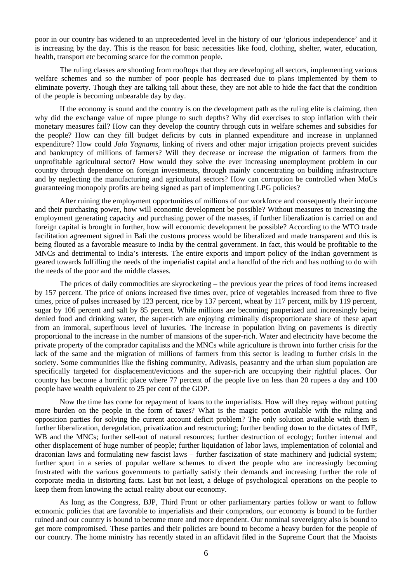poor in our country has widened to an unprecedented level in the history of our 'glorious independence' and it is increasing by the day. This is the reason for basic necessities like food, clothing, shelter, water, education, health, transport etc becoming scarce for the common people.

The ruling classes are shouting from rooftops that they are developing all sectors, implementing various welfare schemes and so the number of poor people has decreased due to plans implemented by them to eliminate poverty. Though they are talking tall about these, they are not able to hide the fact that the condition of the people is becoming unbearable day by day.

If the economy is sound and the country is on the development path as the ruling elite is claiming, then why did the exchange value of rupee plunge to such depths? Why did exercises to stop inflation with their monetary measures fail? How can they develop the country through cuts in welfare schemes and subsidies for the people? How can they fill budget deficits by cuts in planned expenditure and increase in unplanned expenditure? How could *Jala Yagnams*, linking of rivers and other major irrigation projects prevent suicides and bankruptcy of millions of farmers? Will they decrease or increase the migration of farmers from the unprofitable agricultural sector? How would they solve the ever increasing unemployment problem in our country through dependence on foreign investments, through mainly concentrating on building infrastructure and by neglecting the manufacturing and agricultural sectors? How can corruption be controlled when MoUs guaranteeing monopoly profits are being signed as part of implementing LPG policies?

After ruining the employment opportunities of millions of our workforce and consequently their income and their purchasing power, how will economic development be possible? Without measures to increasing the employment generating capacity and purchasing power of the masses, if further liberalization is carried on and foreign capital is brought in further, how will economic development be possible? According to the WTO trade facilitation agreement signed in Bali the customs process would be liberalized and made transparent and this is being flouted as a favorable measure to India by the central government. In fact, this would be profitable to the MNCs and detrimental to India's interests. The entire exports and import policy of the Indian government is geared towards fulfilling the needs of the imperialist capital and a handful of the rich and has nothing to do with the needs of the poor and the middle classes.

The prices of daily commodities are skyrocketing – the previous year the prices of food items increased by 157 percent. The price of onions increased five times over, price of vegetables increased from three to five times, price of pulses increased by 123 percent, rice by 137 percent, wheat by 117 percent, milk by 119 percent, sugar by 106 percent and salt by 85 percent. While millions are becoming pauperized and increasingly being denied food and drinking water, the super-rich are enjoying criminally disproportionate share of these apart from an immoral, superfluous level of luxuries. The increase in population living on pavements is directly proportional to the increase in the number of mansions of the super-rich. Water and electricity have become the private property of the comprador capitalists and the MNCs while agriculture is thrown into further crisis for the lack of the same and the migration of millions of farmers from this sector is leading to further crisis in the society. Some communities like the fishing community, Adivasis, peasantry and the urban slum population are specifically targeted for displacement/evictions and the super-rich are occupying their rightful places. Our country has become a horrific place where 77 percent of the people live on less than 20 rupees a day and 100 people have wealth equivalent to 25 per cent of the GDP.

Now the time has come for repayment of loans to the imperialists. How will they repay without putting more burden on the people in the form of taxes? What is the magic potion available with the ruling and opposition parties for solving the current account deficit problem? The only solution available with them is further liberalization, deregulation, privatization and restructuring; further bending down to the dictates of IMF, WB and the MNCs; further sell-out of natural resources; further destruction of ecology; further internal and other displacement of huge number of people; further liquidation of labor laws, implementation of colonial and draconian laws and formulating new fascist laws – further fascization of state machinery and judicial system; further spurt in a series of popular welfare schemes to divert the people who are increasingly becoming frustrated with the various governments to partially satisfy their demands and increasing further the role of corporate media in distorting facts. Last but not least, a deluge of psychological operations on the people to keep them from knowing the actual reality about our economy.

As long as the Congress, BJP, Third Front or other parliamentary parties follow or want to follow economic policies that are favorable to imperialists and their compradors, our economy is bound to be further ruined and our country is bound to become more and more dependent. Our nominal sovereignty also is bound to get more compromised. These parties and their policies are bound to become a heavy burden for the people of our country. The home ministry has recently stated in an affidavit filed in the Supreme Court that the Maoists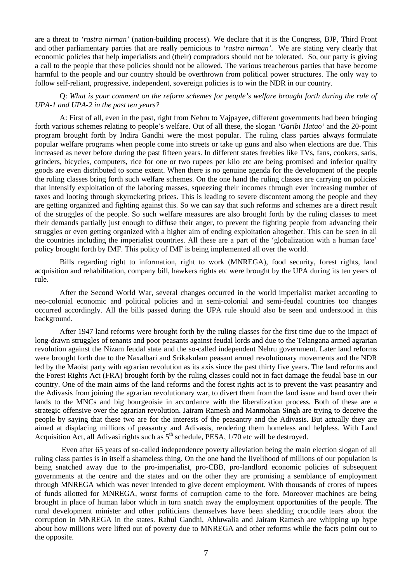are a threat to *'rastra nirman'* (nation-building process). We declare that it is the Congress, BJP, Third Front and other parliamentary parties that are really pernicious to *'rastra nirman'.* We are stating very clearly that economic policies that help imperialists and (their) compradors should not be tolerated. So, our party is giving a call to the people that these policies should not be allowed. The various treacherous parties that have become harmful to the people and our country should be overthrown from political power structures. The only way to follow self-reliant, progressive, independent, sovereign policies is to win the NDR in our country.

## Q: *What is your comment on the reform schemes for people's welfare brought forth during the rule of UPA-1 and UPA-2 in the past ten years?*

A: First of all, even in the past, right from Nehru to Vajpayee, different governments had been bringing forth various schemes relating to people's welfare. Out of all these, the slogan *'Garibi Hatao'* and the 20-point program brought forth by Indira Gandhi were the most popular. The ruling class parties always formulate popular welfare programs when people come into streets or take up guns and also when elections are due. This increased as never before during the past fifteen years. In different states freebies like TVs, fans, cookers, saris, grinders, bicycles, computers, rice for one or two rupees per kilo etc are being promised and inferior quality goods are even distributed to some extent. When there is no genuine agenda for the development of the people the ruling classes bring forth such welfare schemes. On the one hand the ruling classes are carrying on policies that intensify exploitation of the laboring masses, squeezing their incomes through ever increasing number of taxes and looting through skyrocketing prices. This is leading to severe discontent among the people and they are getting organized and fighting against this. So we can say that such reforms and schemes are a direct result of the struggles of the people. So such welfare measures are also brought forth by the ruling classes to meet their demands partially just enough to diffuse their anger, to prevent the fighting people from advancing their struggles or even getting organized with a higher aim of ending exploitation altogether. This can be seen in all the countries including the imperialist countries. All these are a part of the 'globalization with a human face' policy brought forth by IMF. This policy of IMF is being implemented all over the world.

Bills regarding right to information, right to work (MNREGA), food security, forest rights, land acquisition and rehabilitation, company bill, hawkers rights etc were brought by the UPA during its ten years of rule.

After the Second World War, several changes occurred in the world imperialist market according to neo-colonial economic and political policies and in semi-colonial and semi-feudal countries too changes occurred accordingly. All the bills passed during the UPA rule should also be seen and understood in this background.

After 1947 land reforms were brought forth by the ruling classes for the first time due to the impact of long-drawn struggles of tenants and poor peasants against feudal lords and due to the Telangana armed agrarian revolution against the Nizam feudal state and the so-called independent Nehru government. Later land reforms were brought forth due to the Naxalbari and Srikakulam peasant armed revolutionary movements and the NDR led by the Maoist party with agrarian revolution as its axis since the past thirty five years. The land reforms and the Forest Rights Act (FRA) brought forth by the ruling classes could not in fact damage the feudal base in our country. One of the main aims of the land reforms and the forest rights act is to prevent the vast peasantry and the Adivasis from joining the agrarian revolutionary war, to divert them from the land issue and hand over their lands to the MNCs and big bourgeoisie in accordance with the liberalization process. Both of these are a strategic offensive over the agrarian revolution. Jairam Ramesh and Manmohan Singh are trying to deceive the people by saying that these two are for the interests of the peasantry and the Adivasis. But actually they are aimed at displacing millions of peasantry and Adivasis, rendering them homeless and helpless. With Land Acquisition Act, all Adivasi rights such as  $5<sup>th</sup>$  schedule, PESA,  $1/70$  etc will be destroyed.

 Even after 65 years of so-called independence poverty alleviation being the main election slogan of all ruling class parties is in itself a shameless thing. On the one hand the livelihood of millions of our population is being snatched away due to the pro-imperialist, pro-CBB, pro-landlord economic policies of subsequent governments at the centre and the states and on the other they are promising a semblance of employment through MNREGA which was never intended to give decent employment. With thousands of crores of rupees of funds allotted for MNREGA, worst forms of corruption came to the fore. Moreover machines are being brought in place of human labor which in turn snatch away the employment opportunities of the people. The rural development minister and other politicians themselves have been shedding crocodile tears about the corruption in MNREGA in the states. Rahul Gandhi, Ahluwalia and Jairam Ramesh are whipping up hype about how millions were lifted out of poverty due to MNREGA and other reforms while the facts point out to the opposite.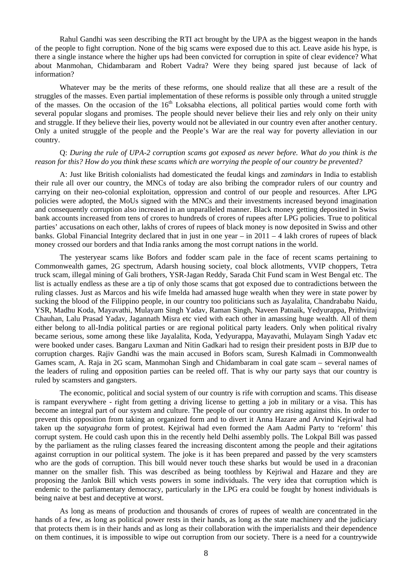Rahul Gandhi was seen describing the RTI act brought by the UPA as the biggest weapon in the hands of the people to fight corruption. None of the big scams were exposed due to this act. Leave aside his hype, is there a single instance where the higher ups had been convicted for corruption in spite of clear evidence? What about Manmohan, Chidambaram and Robert Vadra? Were they being spared just because of lack of information?

Whatever may be the merits of these reforms, one should realize that all these are a result of the struggles of the masses. Even partial implementation of these reforms is possible only through a united struggle of the masses. On the occasion of the 16<sup>th</sup> Loksabha elections, all political parties would come forth with several popular slogans and promises. The people should never believe their lies and rely only on their unity and struggle. If they believe their lies, poverty would not be alleviated in our country even after another century. Only a united struggle of the people and the People's War are the real way for poverty alleviation in our country.

#### Q: *During the rule of UPA-2 corruption scams got exposed as never before. What do you think is the reason for this? How do you think these scams which are worrying the people of our country be prevented?*

A: Just like British colonialists had domesticated the feudal kings and *zamindars* in India to establish their rule all over our country, the MNCs of today are also bribing the comprador rulers of our country and carrying on their neo-colonial exploitation, oppression and control of our people and resources. After LPG policies were adopted, the MoUs signed with the MNCs and their investments increased beyond imagination and consequently corruption also increased in an unparalleled manner. Black money getting deposited in Swiss bank accounts increased from tens of crores to hundreds of crores of rupees after LPG policies. True to political parties' accusations on each other, lakhs of crores of rupees of black money is now deposited in Swiss and other banks. Global Financial Integrity declared that in just in one year – in 2011 – 4 lakh crores of rupees of black money crossed our borders and that India ranks among the most corrupt nations in the world.

The yesteryear scams like Bofors and fodder scam pale in the face of recent scams pertaining to Commonwealth games, 2G spectrum, Adarsh housing society, coal block allotments, VVIP choppers, Tetra truck scam, illegal mining of Gali brothers, YSR-Jagan Reddy, Sarada Chit Fund scam in West Bengal etc. The list is actually endless as these are a tip of only those scams that got exposed due to contradictions between the ruling classes. Just as Marcos and his wife Imelda had amassed huge wealth when they were in state power by sucking the blood of the Filippino people, in our country too politicians such as Jayalalita, Chandrababu Naidu, YSR, Madhu Koda, Mayavathi, Mulayam Singh Yadav, Raman Singh, Naveen Patnaik, Yedyurappa, Prithviraj Chauhan, Lalu Prasad Yadav, Jagannath Misra etc vied with each other in amassing huge wealth. All of them either belong to all-India political parties or are regional political party leaders. Only when political rivalry became serious, some among these like Jayalalita, Koda, Yedyurappa, Mayavathi, Mulayam Singh Yadav etc were booked under cases. Bangaru Laxman and Nitin Gadkari had to resign their president posts in BJP due to corruption charges. Rajiv Gandhi was the main accused in Bofors scam, Suresh Kalmadi in Commonwealth Games scam, A. Raja in 2G scam, Manmohan Singh and Chidambaram in coal gate scam – several names of the leaders of ruling and opposition parties can be reeled off. That is why our party says that our country is ruled by scamsters and gangsters.

The economic, political and social system of our country is rife with corruption and scams. This disease is rampant everywhere - right from getting a driving license to getting a job in military or a visa. This has become an integral part of our system and culture. The people of our country are rising against this. In order to prevent this opposition from taking an organized form and to divert it Anna Hazare and Arvind Kejriwal had taken up the *satyagraha* form of protest. Kejriwal had even formed the Aam Aadmi Party to 'reform' this corrupt system. He could cash upon this in the recently held Delhi assembly polls. The Lokpal Bill was passed by the parliament as the ruling classes feared the increasing discontent among the people and their agitations against corruption in our political system. The joke is it has been prepared and passed by the very scamsters who are the gods of corruption. This bill would never touch these sharks but would be used in a draconian manner on the smaller fish. This was described as being toothless by Kejriwal and Hazare and they are proposing the Janlok Bill which vests powers in some individuals. The very idea that corruption which is endemic to the parliamentary democracy, particularly in the LPG era could be fought by honest individuals is being naive at best and deceptive at worst.

As long as means of production and thousands of crores of rupees of wealth are concentrated in the hands of a few, as long as political power rests in their hands, as long as the state machinery and the judiciary that protects them is in their hands and as long as their collaboration with the imperialists and their dependence on them continues, it is impossible to wipe out corruption from our society. There is a need for a countrywide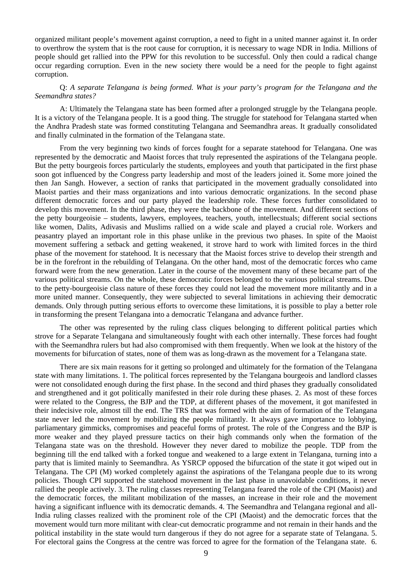organized militant people's movement against corruption, a need to fight in a united manner against it. In order to overthrow the system that is the root cause for corruption, it is necessary to wage NDR in India. Millions of people should get rallied into the PPW for this revolution to be successful. Only then could a radical change occur regarding corruption. Even in the new society there would be a need for the people to fight against corruption.

Q: *A separate Telangana is being formed. What is your party's program for the Telangana and the Seemandhra states?* 

A: Ultimately the Telangana state has been formed after a prolonged struggle by the Telangana people. It is a victory of the Telangana people. It is a good thing. The struggle for statehood for Telangana started when the Andhra Pradesh state was formed constituting Telangana and Seemandhra areas. It gradually consolidated and finally culminated in the formation of the Telangana state.

From the very beginning two kinds of forces fought for a separate statehood for Telangana. One was represented by the democratic and Maoist forces that truly represented the aspirations of the Telangana people. But the petty bourgeois forces particularly the students, employees and youth that participated in the first phase soon got influenced by the Congress party leadership and most of the leaders joined it. Some more joined the then Jan Sangh. However, a section of ranks that participated in the movement gradually consolidated into Maoist parties and their mass organizations and into various democratic organizations. In the second phase different democratic forces and our party played the leadership role. These forces further consolidated to develop this movement. In the third phase, they were the backbone of the movement. And different sections of the petty bourgeoisie – students, lawyers, employees, teachers, youth, intellecstuals; different social sections like women, Dalits, Adivasis and Muslims rallied on a wide scale and played a crucial role. Workers and peasantry played an important role in this phase unlike in the previous two phases. In spite of the Maoist movement suffering a setback and getting weakened, it strove hard to work with limited forces in the third phase of the movement for statehood. It is necessary that the Maoist forces strive to develop their strength and be in the forefront in the rebuilding of Telangana. On the other hand, most of the democratic forces who came forward were from the new generation. Later in the course of the movement many of these became part of the various political streams. On the whole, these democratic forces belonged to the various political streams. Due to the petty-bourgeoisie class nature of these forces they could not lead the movement more militantly and in a more united manner. Consequently, they were subjected to several limitations in achieving their democratic demands. Only through putting serious efforts to overcome these limitations, it is possible to play a better role in transforming the present Telangana into a democratic Telangana and advance further.

The other was represented by the ruling class cliques belonging to different political parties which strove for a Separate Telangana and simultaneously fought with each other internally. These forces had fought with the Seemandhra rulers but had also compromised with them frequently. When we look at the history of the movements for bifurcation of states, none of them was as long-drawn as the movement for a Telangana state.

There are six main reasons for it getting so prolonged and ultimately for the formation of the Telangana state with many limitations. 1. The political forces represented by the Telangana bourgeois and landlord classes were not consolidated enough during the first phase. In the second and third phases they gradually consolidated and strengthened and it got politically manifested in their role during these phases. 2. As most of these forces were related to the Congress, the BJP and the TDP, at different phases of the movement, it got manifested in their indecisive role, almost till the end. The TRS that was formed with the aim of formation of the Telangana state never led the movement by mobilizing the people militantly. It always gave importance to lobbying, parliamentary gimmicks, compromises and peaceful forms of protest. The role of the Congress and the BJP is more weaker and they played pressure tactics on their high commands only when the formation of the Telangana state was on the threshold. However they never dared to mobilize the people. TDP from the beginning till the end talked with a forked tongue and weakened to a large extent in Telangana, turning into a party that is limited mainly to Seemandhra. As YSRCP opposed the bifurcation of the state it got wiped out in Telangana. The CPI (M) worked completely against the aspirations of the Telangana people due to its wrong policies. Though CPI supported the statehood movement in the last phase in unavoidable conditions, it never rallied the people actively. 3. The ruling classes representing Telangana feared the role of the CPI (Maoist) and the democratic forces, the militant mobilization of the masses, an increase in their role and the movement having a significant influence with its democratic demands. 4. The Seemandhra and Telangana regional and all-India ruling classes realized with the prominent role of the CPI (Maoist) and the democratic forces that the movement would turn more militant with clear-cut democratic programme and not remain in their hands and the political instability in the state would turn dangerous if they do not agree for a separate state of Telangana. 5. For electoral gains the Congress at the centre was forced to agree for the formation of the Telangana state. 6.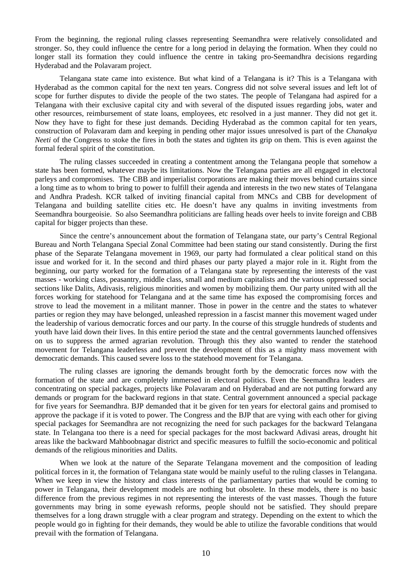From the beginning, the regional ruling classes representing Seemandhra were relatively consolidated and stronger. So, they could influence the centre for a long period in delaying the formation. When they could no longer stall its formation they could influence the centre in taking pro-Seemandhra decisions regarding Hyderabad and the Polavaram project.

Telangana state came into existence. But what kind of a Telangana is it? This is a Telangana with Hyderabad as the common capital for the next ten years. Congress did not solve several issues and left lot of scope for further disputes to divide the people of the two states. The people of Telangana had aspired for a Telangana with their exclusive capital city and with several of the disputed issues regarding jobs, water and other resources, reimbursement of state loans, employees, etc resolved in a just manner. They did not get it. Now they have to fight for these just demands. Deciding Hyderabad as the common capital for ten years, construction of Polavaram dam and keeping in pending other major issues unresolved is part of the *Chanakya Neeti* of the Congress to stoke the fires in both the states and tighten its grip on them. This is even against the formal federal spirit of the constitution.

The ruling classes succeeded in creating a contentment among the Telangana people that somehow a state has been formed, whatever maybe its limitations. Now the Telangana parties are all engaged in electoral parleys and compromises. The CBB and imperialist corporations are making their moves behind curtains since a long time as to whom to bring to power to fulfill their agenda and interests in the two new states of Telangana and Andhra Pradesh. KCR talked of inviting financial capital from MNCs and CBB for development of Telangana and building satellite cities etc. He doesn't have any qualms in inviting investments from Seemandhra bourgeoisie. So also Seemandhra politicians are falling heads over heels to invite foreign and CBB capital for bigger projects than these.

Since the centre's announcement about the formation of Telangana state, our party's Central Regional Bureau and North Telangana Special Zonal Committee had been stating our stand consistently. During the first phase of the Separate Telangana movement in 1969, our party had formulated a clear political stand on this issue and worked for it. In the second and third phases our party played a major role in it. Right from the beginning, our party worked for the formation of a Telangana state by representing the interests of the vast masses - working class, peasantry, middle class, small and medium capitalists and the various oppressed social sections like Dalits, Adivasis, religious minorities and women by mobilizing them. Our party united with all the forces working for statehood for Telangana and at the same time has exposed the compromising forces and strove to lead the movement in a militant manner. Those in power in the centre and the states to whatever parties or region they may have belonged, unleashed repression in a fascist manner this movement waged under the leadership of various democratic forces and our party. In the course of this struggle hundreds of students and youth have laid down their lives. In this entire period the state and the central governments launched offensives on us to suppress the armed agrarian revolution. Through this they also wanted to render the statehood movement for Telangana leaderless and prevent the development of this as a mighty mass movement with democratic demands. This caused severe loss to the statehood movement for Telangana.

The ruling classes are ignoring the demands brought forth by the democratic forces now with the formation of the state and are completely immersed in electoral politics. Even the Seemandhra leaders are concentrating on special packages, projects like Polavaram and on Hyderabad and are not putting forward any demands or program for the backward regions in that state. Central government announced a special package for five years for Seemandhra. BJP demanded that it be given for ten years for electoral gains and promised to approve the package if it is voted to power. The Congress and the BJP that are vying with each other for giving special packages for Seemandhra are not recognizing the need for such packages for the backward Telangana state. In Telangana too there is a need for special packages for the most backward Adivasi areas, drought hit areas like the backward Mahboobnagar district and specific measures to fulfill the socio-economic and political demands of the religious minorities and Dalits.

When we look at the nature of the Separate Telangana movement and the composition of leading political forces in it, the formation of Telangana state would be mainly useful to the ruling classes in Telangana. When we keep in view the history and class interests of the parliamentary parties that would be coming to power in Telangana, their development models are nothing but obsolete. In these models, there is no basic difference from the previous regimes in not representing the interests of the vast masses. Though the future governments may bring in some eyewash reforms, people should not be satisfied. They should prepare themselves for a long drawn struggle with a clear program and strategy. Depending on the extent to which the people would go in fighting for their demands, they would be able to utilize the favorable conditions that would prevail with the formation of Telangana.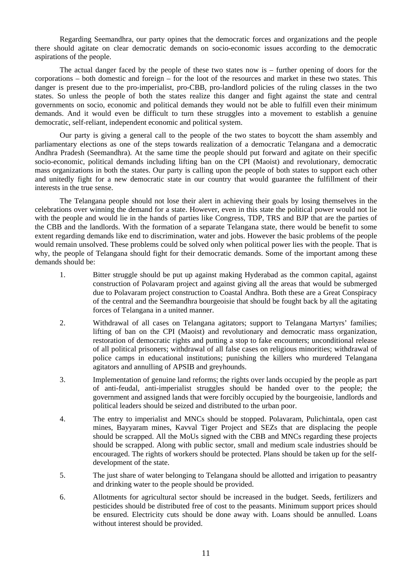Regarding Seemandhra, our party opines that the democratic forces and organizations and the people there should agitate on clear democratic demands on socio-economic issues according to the democratic aspirations of the people.

The actual danger faced by the people of these two states now is – further opening of doors for the corporations – both domestic and foreign – for the loot of the resources and market in these two states. This danger is present due to the pro-imperialist, pro-CBB, pro-landlord policies of the ruling classes in the two states. So unless the people of both the states realize this danger and fight against the state and central governments on socio, economic and political demands they would not be able to fulfill even their minimum demands. And it would even be difficult to turn these struggles into a movement to establish a genuine democratic, self-reliant, independent economic and political system.

Our party is giving a general call to the people of the two states to boycott the sham assembly and parliamentary elections as one of the steps towards realization of a democratic Telangana and a democratic Andhra Pradesh (Seemandhra). At the same time the people should put forward and agitate on their specific socio-economic, political demands including lifting ban on the CPI (Maoist) and revolutionary, democratic mass organizations in both the states. Our party is calling upon the people of both states to support each other and unitedly fight for a new democratic state in our country that would guarantee the fulfillment of their interests in the true sense.

The Telangana people should not lose their alert in achieving their goals by losing themselves in the celebrations over winning the demand for a state. However, even in this state the political power would not lie with the people and would lie in the hands of parties like Congress, TDP, TRS and BJP that are the parties of the CBB and the landlords. With the formation of a separate Telangana state, there would be benefit to some extent regarding demands like end to discrimination, water and jobs. However the basic problems of the people would remain unsolved. These problems could be solved only when political power lies with the people. That is why, the people of Telangana should fight for their democratic demands. Some of the important among these demands should be:

- 1. Bitter struggle should be put up against making Hyderabad as the common capital, against construction of Polavaram project and against giving all the areas that would be submerged due to Polavaram project construction to Coastal Andhra. Both these are a Great Conspiracy of the central and the Seemandhra bourgeoisie that should be fought back by all the agitating forces of Telangana in a united manner.
- 2. Withdrawal of all cases on Telangana agitators; support to Telangana Martyrs' families; lifting of ban on the CPI (Maoist) and revolutionary and democratic mass organization, restoration of democratic rights and putting a stop to fake encounters; unconditional release of all political prisoners; withdrawal of all false cases on religious minorities; withdrawal of police camps in educational institutions; punishing the killers who murdered Telangana agitators and annulling of APSIB and greyhounds.
- 3. Implementation of genuine land reforms; the rights over lands occupied by the people as part of anti-feudal, anti-imperialist struggles should be handed over to the people; the government and assigned lands that were forcibly occupied by the bourgeoisie, landlords and political leaders should be seized and distributed to the urban poor.
- 4. The entry to imperialist and MNCs should be stopped. Polavaram, Pulichintala, open cast mines, Bayyaram mines, Kavval Tiger Project and SEZs that are displacing the people should be scrapped. All the MoUs signed with the CBB and MNCs regarding these projects should be scrapped. Along with public sector, small and medium scale industries should be encouraged. The rights of workers should be protected. Plans should be taken up for the selfdevelopment of the state.
- 5. The just share of water belonging to Telangana should be allotted and irrigation to peasantry and drinking water to the people should be provided.
- 6. Allotments for agricultural sector should be increased in the budget. Seeds, fertilizers and pesticides should be distributed free of cost to the peasants. Minimum support prices should be ensured. Electricity cuts should be done away with. Loans should be annulled. Loans without interest should be provided.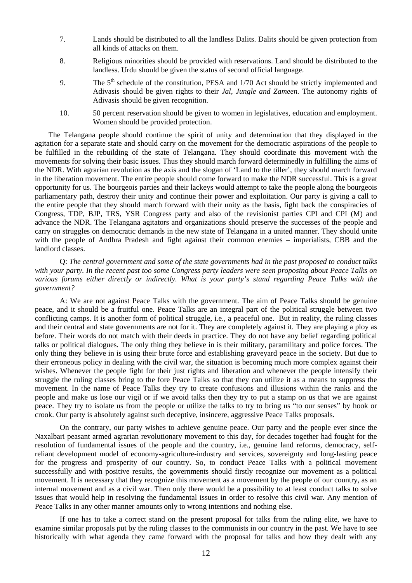- 7. Lands should be distributed to all the landless Dalits. Dalits should be given protection from all kinds of attacks on them.
- 8. Religious minorities should be provided with reservations. Land should be distributed to the landless. Urdu should be given the status of second official language.
- 9. The 5<sup>th</sup> schedule of the constitution, PESA and 1/70 Act should be strictly implemented and Adivasis should be given rights to their *Jal, Jungle and Zameen.* The autonomy rights of Adivasis should be given recognition.
- 10. 50 percent reservation should be given to women in legislatives, education and employment. Women should be provided protection.

The Telangana people should continue the spirit of unity and determination that they displayed in the agitation for a separate state and should carry on the movement for the democratic aspirations of the people to be fulfilled in the rebuilding of the state of Telangana. They should coordinate this movement with the movements for solving their basic issues. Thus they should march forward determinedly in fulfilling the aims of the NDR. With agrarian revolution as the axis and the slogan of 'Land to the tiller', they should march forward in the liberation movement. The entire people should come forward to make the NDR successful. This is a great opportunity for us. The bourgeois parties and their lackeys would attempt to take the people along the bourgeois parliamentary path, destroy their unity and continue their power and exploitation. Our party is giving a call to the entire people that they should march forward with their unity as the basis, fight back the conspiracies of Congress, TDP, BJP, TRS, YSR Congress party and also of the revisionist parties CPI and CPI (M) and advance the NDR. The Telangana agitators and organizations should preserve the successes of the people and carry on struggles on democratic demands in the new state of Telangana in a united manner. They should unite with the people of Andhra Pradesh and fight against their common enemies – imperialists, CBB and the landlord classes.

Q: *The central government and some of the state governments had in the past proposed to conduct talks with your party. In the recent past too some Congress party leaders were seen proposing about Peace Talks on various forums either directly or indirectly. What is your party's stand regarding Peace Talks with the government?* 

A: We are not against Peace Talks with the government. The aim of Peace Talks should be genuine peace, and it should be a fruitful one. Peace Talks are an integral part of the political struggle between two conflicting camps. It is another form of political struggle, i.e., a peaceful one. But in reality, the ruling classes and their central and state governments are not for it. They are completely against it. They are playing a ploy as before. Their words do not match with their deeds in practice. They do not have any belief regarding political talks or political dialogues. The only thing they believe in is their military, paramilitary and police forces. The only thing they believe in is using their brute force and establishing graveyard peace in the society. But due to their erroneous policy in dealing with the civil war, the situation is becoming much more complex against their wishes. Whenever the people fight for their just rights and liberation and whenever the people intensify their struggle the ruling classes bring to the fore Peace Talks so that they can utilize it as a means to suppress the movement. In the name of Peace Talks they try to create confusions and illusions within the ranks and the people and make us lose our vigil or if we avoid talks then they try to put a stamp on us that we are against peace. They try to isolate us from the people or utilize the talks to try to bring us "to our senses" by hook or crook. Our party is absolutely against such deceptive, insincere, aggressive Peace Talks proposals.

On the contrary, our party wishes to achieve genuine peace. Our party and the people ever since the Naxalbari peasant armed agrarian revolutionary movement to this day, for decades together had fought for the resolution of fundamental issues of the people and the country, i.e., genuine land reforms, democracy, selfreliant development model of economy-agriculture-industry and services, sovereignty and long-lasting peace for the progress and prosperity of our country. So, to conduct Peace Talks with a political movement successfully and with positive results, the governments should firstly recognize our movement as a political movement. It is necessary that they recognize this movement as a movement by the people of our country, as an internal movement and as a civil war. Then only there would be a possibility to at least conduct talks to solve issues that would help in resolving the fundamental issues in order to resolve this civil war. Any mention of Peace Talks in any other manner amounts only to wrong intentions and nothing else.

If one has to take a correct stand on the present proposal for talks from the ruling elite, we have to examine similar proposals put by the ruling classes to the communists in our country in the past. We have to see historically with what agenda they came forward with the proposal for talks and how they dealt with any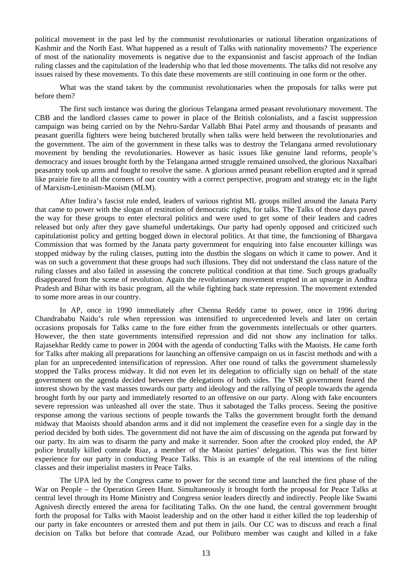political movement in the past led by the communist revolutionaries or national liberation organizations of Kashmir and the North East. What happened as a result of Talks with nationality movements? The experience of most of the nationality movements is negative due to the expansionist and fascist approach of the Indian ruling classes and the capitulation of the leadership who that led those movements. The talks did not resolve any issues raised by these movements. To this date these movements are still continuing in one form or the other.

What was the stand taken by the communist revolutionaries when the proposals for talks were put before them?

The first such instance was during the glorious Telangana armed peasant revolutionary movement. The CBB and the landlord classes came to power in place of the British colonialists, and a fascist suppression campaign was being carried on by the Nehru-Sardar Vallabh Bhai Patel army and thousands of peasants and peasant guerilla fighters were being butchered brutally when talks were held between the revolutionaries and the government. The aim of the government in these talks was to destroy the Telangana armed revolutionary movement by bending the revolutionaries. However as basic issues like genuine land reforms, people's democracy and issues brought forth by the Telangana armed struggle remained unsolved, the glorious Naxalbari peasantry took up arms and fought to resolve the same. A glorious armed peasant rebellion erupted and it spread like prairie fire to all the corners of our country with a correct perspective, program and strategy etc in the light of Marxism-Leninism-Maoism (MLM).

After Indira's fascist rule ended, leaders of various rightist ML groups milled around the Janata Party that came to power with the slogan of restitution of democratic rights, for talks. The Talks of those days paved the way for these groups to enter electoral politics and were used to get some of their leaders and cadres released but only after they gave shameful undertakings. Our party had openly opposed and criticized such capitulationist policy and getting bogged down in electoral politics. At that time, the functioning of Bhargava Commission that was formed by the Janata party government for enquiring into false encounter killings was stopped midway by the ruling classes, putting into the dustbin the slogans on which it came to power. And it was on such a government that these groups had such illusions. They did not understand the class nature of the ruling classes and also failed in assessing the concrete political condition at that time. Such groups gradually disappeared from the scene of revolution. Again the revolutionary movement erupted in an upsurge in Andhra Pradesh and Bihar with its basic program, all the while fighting back state repression. The movement extended to some more areas in our country.

In AP, once in 1990 immediately after Chenna Reddy came to power, once in 1996 during Chandrababu Naidu's rule when repression was intensified to unprecedented levels and later on certain occasions proposals for Talks came to the fore either from the governments intellectuals or other quarters. However, the then state governments intensified repression and did not show any inclination for talks. Rajasekhar Reddy came to power in 2004 with the agenda of conducting Talks with the Maoists. He came forth for Talks after making all preparations for launching an offensive campaign on us in fascist methods and with a plan for an unprecedented intensification of repression. After one round of talks the government shamelessly stopped the Talks process midway. It did not even let its delegation to officially sign on behalf of the state government on the agenda decided between the delegations of both sides. The YSR government feared the interest shown by the vast masses towards our party and ideology and the rallying of people towards the agenda brought forth by our party and immediately resorted to an offensive on our party. Along with fake encounters severe repression was unleashed all over the state. Thus it sabotaged the Talks process. Seeing the positive response among the various sections of people towards the Talks the government brought forth the demand midway that Maoists should abandon arms and it did not implement the ceasefire even for a single day in the period decided by both sides. The government did not have the aim of discussing on the agenda put forward by our party. Its aim was to disarm the party and make it surrender. Soon after the crooked ploy ended, the AP police brutally killed comrade Riaz, a member of the Maoist parties' delegation. This was the first bitter experience for our party in conducting Peace Talks. This is an example of the real intentions of the ruling classes and their imperialist masters in Peace Talks.

The UPA led by the Congress came to power for the second time and launched the first phase of the War on People – the Operation Green Hunt. Simultaneously it brought forth the proposal for Peace Talks at central level through its Home Ministry and Congress senior leaders directly and indirectly. People like Swami Agnivesh directly entered the arena for facilitating Talks. On the one hand, the central government brought forth the proposal for Talks with Maoist leadership and on the other hand it either killed the top leadership of our party in fake encounters or arrested them and put them in jails. Our CC was to discuss and reach a final decision on Talks but before that comrade Azad, our Politburo member was caught and killed in a fake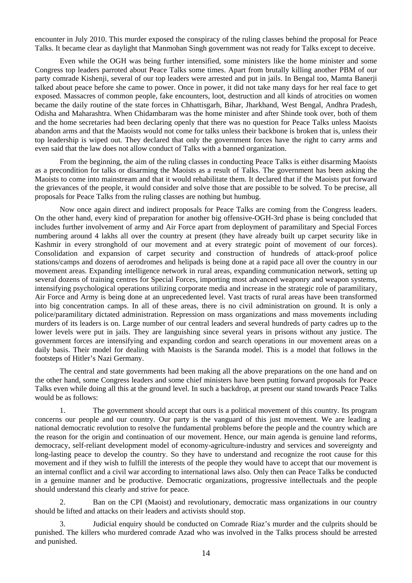encounter in July 2010. This murder exposed the conspiracy of the ruling classes behind the proposal for Peace Talks. It became clear as daylight that Manmohan Singh government was not ready for Talks except to deceive.

Even while the OGH was being further intensified, some ministers like the home minister and some Congress top leaders parroted about Peace Talks some times. Apart from brutally killing another PBM of our party comrade Kishenji, several of our top leaders were arrested and put in jails. In Bengal too, Mamta Banerji talked about peace before she came to power. Once in power, it did not take many days for her real face to get exposed. Massacres of common people, fake encounters, loot, destruction and all kinds of atrocities on women became the daily routine of the state forces in Chhattisgarh, Bihar, Jharkhand, West Bengal, Andhra Pradesh, Odisha and Maharashtra. When Chidambaram was the home minister and after Shinde took over, both of them and the home secretaries had been declaring openly that there was no question for Peace Talks unless Maoists abandon arms and that the Maoists would not come for talks unless their backbone is broken that is, unless their top leadership is wiped out. They declared that only the government forces have the right to carry arms and even said that the law does not allow conduct of Talks with a banned organization.

From the beginning, the aim of the ruling classes in conducting Peace Talks is either disarming Maoists as a precondition for talks or disarming the Maoists as a result of Talks. The government has been asking the Maoists to come into mainstream and that it would rehabilitate them. It declared that if the Maoists put forward the grievances of the people, it would consider and solve those that are possible to be solved. To be precise, all proposals for Peace Talks from the ruling classes are nothing but humbug.

Now once again direct and indirect proposals for Peace Talks are coming from the Congress leaders. On the other hand, every kind of preparation for another big offensive-OGH-3rd phase is being concluded that includes further involvement of army and Air Force apart from deployment of paramilitary and Special Forces numbering around 4 lakhs all over the country at present (they have already built up carpet security like in Kashmir in every stronghold of our movement and at every strategic point of movement of our forces). Consolidation and expansion of carpet security and construction of hundreds of attack-proof police stations/camps and dozens of aerodromes and helipads is being done at a rapid pace all over the country in our movement areas. Expanding intelligence network in rural areas, expanding communication network, setting up several dozens of training centres for Special Forces, importing most advanced weaponry and weapon systems, intensifying psychological operations utilizing corporate media and increase in the strategic role of paramilitary, Air Force and Army is being done at an unprecedented level. Vast tracts of rural areas have been transformed into big concentration camps. In all of these areas, there is no civil administration on ground. It is only a police/paramilitary dictated administration. Repression on mass organizations and mass movements including murders of its leaders is on. Large number of our central leaders and several hundreds of party cadres up to the lower levels were put in jails. They are languishing since several years in prisons without any justice. The government forces are intensifying and expanding cordon and search operations in our movement areas on a daily basis. Their model for dealing with Maoists is the Saranda model. This is a model that follows in the footsteps of Hitler's Nazi Germany.

The central and state governments had been making all the above preparations on the one hand and on the other hand, some Congress leaders and some chief ministers have been putting forward proposals for Peace Talks even while doing all this at the ground level. In such a backdrop, at present our stand towards Peace Talks would be as follows:

1. The government should accept that ours is a political movement of this country. Its program concerns our people and our country. Our party is the vanguard of this just movement. We are leading a national democratic revolution to resolve the fundamental problems before the people and the country which are the reason for the origin and continuation of our movement. Hence, our main agenda is genuine land reforms, democracy, self-reliant development model of economy-agriculture-industry and services and sovereignty and long-lasting peace to develop the country. So they have to understand and recognize the root cause for this movement and if they wish to fulfill the interests of the people they would have to accept that our movement is an internal conflict and a civil war according to international laws also. Only then can Peace Talks be conducted in a genuine manner and be productive. Democratic organizations, progressive intellectuals and the people should understand this clearly and strive for peace.

2. Ban on the CPI (Maoist) and revolutionary, democratic mass organizations in our country should be lifted and attacks on their leaders and activists should stop.

3. Judicial enquiry should be conducted on Comrade Riaz's murder and the culprits should be punished. The killers who murdered comrade Azad who was involved in the Talks process should be arrested and punished.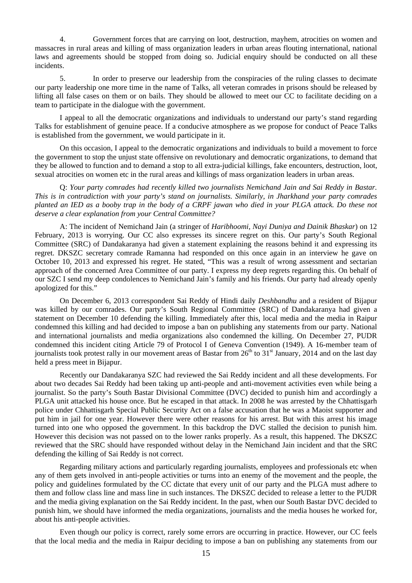4. Government forces that are carrying on loot, destruction, mayhem, atrocities on women and massacres in rural areas and killing of mass organization leaders in urban areas flouting international, national laws and agreements should be stopped from doing so. Judicial enquiry should be conducted on all these incidents.

5. In order to preserve our leadership from the conspiracies of the ruling classes to decimate our party leadership one more time in the name of Talks, all veteran comrades in prisons should be released by lifting all false cases on them or on bails. They should be allowed to meet our CC to facilitate deciding on a team to participate in the dialogue with the government.

I appeal to all the democratic organizations and individuals to understand our party's stand regarding Talks for establishment of genuine peace. If a conducive atmosphere as we propose for conduct of Peace Talks is established from the government, we would participate in it.

On this occasion, I appeal to the democratic organizations and individuals to build a movement to force the government to stop the unjust state offensive on revolutionary and democratic organizations, to demand that they be allowed to function and to demand a stop to all extra-judicial killings, fake encounters, destruction, loot, sexual atrocities on women etc in the rural areas and killings of mass organization leaders in urban areas.

Q: *Your party comrades had recently killed two journalists Nemichand Jain and Sai Reddy in Bastar. This is in contradiction with your party's stand on journalists. Similarly, in Jharkhand your party comrades planted an IED as a booby trap in the body of a CRPF jawan who died in your PLGA attack. Do these not deserve a clear explanation from your Central Committee?* 

A: The incident of Nemichand Jain (a stringer of *Haribhoomi, Nayi Duniya and Dainik Bhaskar*) on 12 February, 2013 is worrying. Our CC also expresses its sincere regret on this. Our party's South Regional Committee (SRC) of Dandakaranya had given a statement explaining the reasons behind it and expressing its regret. DKSZC secretary comrade Ramanna had responded on this once again in an interview he gave on October 10, 2013 and expressed his regret. He stated, "This was a result of wrong assessment and sectarian approach of the concerned Area Committee of our party. I express my deep regrets regarding this. On behalf of our SZC I send my deep condolences to Nemichand Jain's family and his friends. Our party had already openly apologized for this."

On December 6, 2013 correspondent Sai Reddy of Hindi daily *Deshbandhu* and a resident of Bijapur was killed by our comrades. Our party's South Regional Committee (SRC) of Dandakaranya had given a statement on December 10 defending the killing. Immediately after this, local media and the media in Raipur condemned this killing and had decided to impose a ban on publishing any statements from our party. National and international journalists and media organizations also condemned the killing. On December 27, PUDR condemned this incident citing Article 79 of Protocol I of Geneva Convention (1949). A 16-member team of journalists took protest rally in our movement areas of Bastar from  $26<sup>th</sup>$  to  $31<sup>st</sup>$  January, 2014 and on the last day held a press meet in Bijapur.

Recently our Dandakaranya SZC had reviewed the Sai Reddy incident and all these developments. For about two decades Sai Reddy had been taking up anti-people and anti-movement activities even while being a journalist. So the party's South Bastar Divisional Committee (DVC) decided to punish him and accordingly a PLGA unit attacked his house once. But he escaped in that attack. In 2008 he was arrested by the Chhattisgarh police under Chhattisgarh Special Public Security Act on a false accusation that he was a Maoist supporter and put him in jail for one year. However there were other reasons for his arrest. But with this arrest his image turned into one who opposed the government. In this backdrop the DVC stalled the decision to punish him. However this decision was not passed on to the lower ranks properly. As a result, this happened. The DKSZC reviewed that the SRC should have responded without delay in the Nemichand Jain incident and that the SRC defending the killing of Sai Reddy is not correct.

Regarding military actions and particularly regarding journalists, employees and professionals etc when any of them gets involved in anti-people activities or turns into an enemy of the movement and the people, the policy and guidelines formulated by the CC dictate that every unit of our party and the PLGA must adhere to them and follow class line and mass line in such instances. The DKSZC decided to release a letter to the PUDR and the media giving explanation on the Sai Reddy incident. In the past, when our South Bastar DVC decided to punish him, we should have informed the media organizations, journalists and the media houses he worked for, about his anti-people activities.

Even though our policy is correct, rarely some errors are occurring in practice. However, our CC feels that the local media and the media in Raipur deciding to impose a ban on publishing any statements from our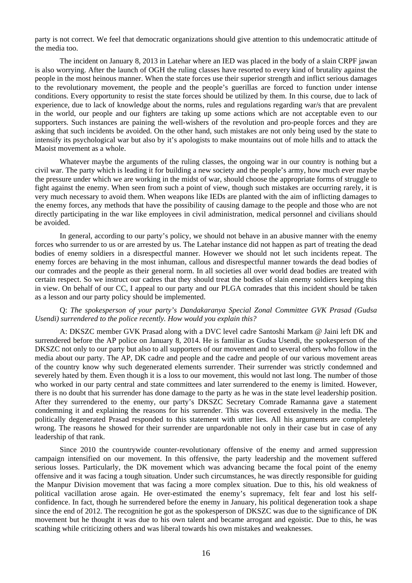party is not correct. We feel that democratic organizations should give attention to this undemocratic attitude of the media too.

The incident on January 8, 2013 in Latehar where an IED was placed in the body of a slain CRPF jawan is also worrying. After the launch of OGH the ruling classes have resorted to every kind of brutality against the people in the most heinous manner. When the state forces use their superior strength and inflict serious damages to the revolutionary movement, the people and the people's guerillas are forced to function under intense conditions. Every opportunity to resist the state forces should be utilized by them. In this course, due to lack of experience, due to lack of knowledge about the norms, rules and regulations regarding war/s that are prevalent in the world, our people and our fighters are taking up some actions which are not acceptable even to our supporters. Such instances are paining the well-wishers of the revolution and pro-people forces and they are asking that such incidents be avoided. On the other hand, such mistakes are not only being used by the state to intensify its psychological war but also by it's apologists to make mountains out of mole hills and to attack the Maoist movement as a whole.

Whatever maybe the arguments of the ruling classes, the ongoing war in our country is nothing but a civil war. The party which is leading it for building a new society and the people's army, how much ever maybe the pressure under which we are working in the midst of war, should choose the appropriate forms of struggle to fight against the enemy. When seen from such a point of view, though such mistakes are occurring rarely, it is very much necessary to avoid them. When weapons like IEDs are planted with the aim of inflicting damages to the enemy forces, any methods that have the possibility of causing damage to the people and those who are not directly participating in the war like employees in civil administration, medical personnel and civilians should be avoided.

In general, according to our party's policy, we should not behave in an abusive manner with the enemy forces who surrender to us or are arrested by us. The Latehar instance did not happen as part of treating the dead bodies of enemy soldiers in a disrespectful manner. However we should not let such incidents repeat. The enemy forces are behaving in the most inhuman, callous and disrespectful manner towards the dead bodies of our comrades and the people as their general norm. In all societies all over world dead bodies are treated with certain respect. So we instruct our cadres that they should treat the bodies of slain enemy soldiers keeping this in view. On behalf of our CC, I appeal to our party and our PLGA comrades that this incident should be taken as a lesson and our party policy should be implemented.

#### Q: *The spokesperson of your party's Dandakaranya Special Zonal Committee GVK Prasad (Gudsa Usendi) surrendered to the police recently. How would you explain this?*

A: DKSZC member GVK Prasad along with a DVC level cadre Santoshi Markam @ Jaini left DK and surrendered before the AP police on January 8, 2014. He is familiar as Gudsa Usendi, the spokesperson of the DKSZC not only to our party but also to all supporters of our movement and to several others who follow in the media about our party. The AP, DK cadre and people and the cadre and people of our various movement areas of the country know why such degenerated elements surrender. Their surrender was strictly condemned and severely hated by them. Even though it is a loss to our movement, this would not last long. The number of those who worked in our party central and state committees and later surrendered to the enemy is limited. However, there is no doubt that his surrender has done damage to the party as he was in the state level leadership position. After they surrendered to the enemy, our party's DKSZC Secretary Comrade Ramanna gave a statement condemning it and explaining the reasons for his surrender. This was covered extensively in the media. The politically degenerated Prasad responded to this statement with utter lies. All his arguments are completely wrong. The reasons he showed for their surrender are unpardonable not only in their case but in case of any leadership of that rank.

Since 2010 the countrywide counter-revolutionary offensive of the enemy and armed suppression campaign intensified on our movement. In this offensive, the party leadership and the movement suffered serious losses. Particularly, the DK movement which was advancing became the focal point of the enemy offensive and it was facing a tough situation. Under such circumstances, he was directly responsible for guiding the Manpur Division movement that was facing a more complex situation. Due to this, his old weakness of political vacillation arose again. He over-estimated the enemy's supremacy, felt fear and lost his selfconfidence. In fact, though he surrendered before the enemy in January, his political degeneration took a shape since the end of 2012. The recognition he got as the spokesperson of DKSZC was due to the significance of DK movement but he thought it was due to his own talent and became arrogant and egoistic. Due to this, he was scathing while criticizing others and was liberal towards his own mistakes and weaknesses.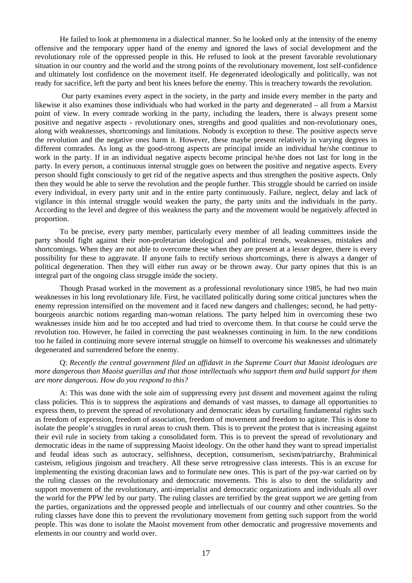He failed to look at phemomena in a dialectical manner. So he looked only at the intensity of the enemy offensive and the temporary upper hand of the enemy and ignored the laws of social development and the revolutionary role of the oppressed people in this. He refused to look at the present favorable revolutionary situation in our country and the world and the strong points of the revolutionary movement, lost self-confidence and ultimately lost confidence on the movement itself. He degenerated ideologically and politically, was not ready for sacrifice, left the party and bent his knees before the enemy. This is treachery towards the revolution.

 Our party examines every aspect in the society, in the party and inside every member in the party and likewise it also examines those individuals who had worked in the party and degenerated – all from a Marxist point of view. In every comrade working in the party, including the leaders, there is always present some positive and negative aspects - revolutionary ones, strengths and good qualities and non-revolutionary ones, along with weaknesses, shortcomings and limitations. Nobody is exception to these. The positive aspects serve the revolution and the negative ones harm it. However, these maybe present relatively in varying degrees in different comrades. As long as the good-strong aspects are principal inside an individual he/she continue to work in the party. If in an individual negative aspects become principal he/she does not last for long in the party. In every person, a continuous internal struggle goes on between the positive and negative aspects. Every person should fight consciously to get rid of the negative aspects and thus strengthen the positive aspects. Only then they would be able to serve the revolution and the people further. This struggle should be carried on inside every individual, in every party unit and in the entire party continuously. Failure, neglect, delay and lack of vigilance in this internal struggle would weaken the party, the party units and the individuals in the party. According to the level and degree of this weakness the party and the movement would be negatively affected in proportion.

To be precise, every party member, particularly every member of all leading committees inside the party should fight against their non-proletarian ideological and political trends, weaknesses, mistakes and shortcomings. When they are not able to overcome these when they are present at a lesser degree, there is every possibility for these to aggravate. If anyone fails to rectify serious shortcomings, there is always a danger of political degeneration. Then they will either run away or be thrown away. Our party opines that this is an integral part of the ongoing class struggle inside the society.

Though Prasad worked in the movement as a professional revolutionary since 1985, he had two main weaknesses in his long revolutionary life. First, he vacillated politically during some critical junctures when the enemy repression intensified on the movement and it faced new dangers and challenges; second, he had pettybourgeois anarchic notions regarding man-woman relations. The party helped him in overcoming these two weaknesses inside him and he too accepted and had tried to overcome them. In that course he could serve the revolution too. However, he failed in correcting the past weaknesses continuing in him. In the new conditions too he failed in continuing more severe internal struggle on himself to overcome his weaknesses and ultimately degenerated and surrendered before the enemy.

Q: *Recently the central government filed an affidavit in the Supreme Court that Maoist ideologues are more dangerous than Maoist guerillas and that those intellectuals who support them and build support for them are more dangerous. How do you respond to this?* 

A: This was done with the sole aim of suppressing every just dissent and movement against the ruling class policies. This is to suppress the aspirations and demands of vast masses, to damage all opportunities to express them, to prevent the spread of revolutionary and democratic ideas by curtailing fundamental rights such as freedom of expression, freedom of association, freedom of movement and freedom to agitate. This is done to isolate the people's struggles in rural areas to crush them. This is to prevent the protest that is increasing against their evil rule in society from taking a consolidated form. This is to prevent the spread of revolutionary and democratic ideas in the name of suppressing Maoist ideology. On the other hand they want to spread imperialist and feudal ideas such as autocracy, selfishness, deception, consumerism, sexism/patriarchy, Brahminical casteism, religious jingoism and treachery. All these serve retrogressive class interests. This is an excuse for implementing the existing draconian laws and to formulate new ones. This is part of the psy-war carried on by the ruling classes on the revolutionary and democratic movements. This is also to dent the solidarity and support movement of the revolutionary, anti-imperialist and democratic organizations and individuals all over the world for the PPW led by our party. The ruling classes are terrified by the great support we are getting from the parties, organizations and the oppressed people and intellectuals of our country and other countries. So the ruling classes have done this to prevent the revolutionary movement from getting such support from the world people. This was done to isolate the Maoist movement from other democratic and progressive movements and elements in our country and world over.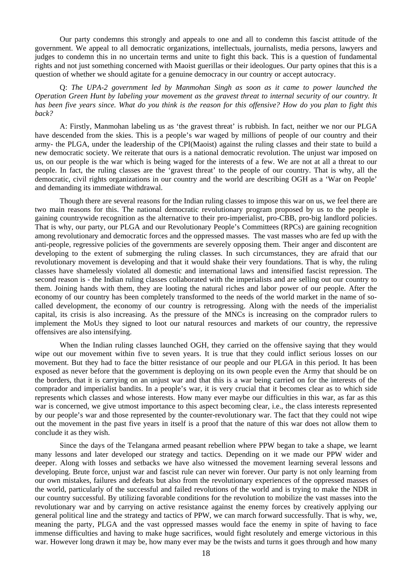Our party condemns this strongly and appeals to one and all to condemn this fascist attitude of the government. We appeal to all democratic organizations, intellectuals, journalists, media persons, lawyers and judges to condemn this in no uncertain terms and unite to fight this back. This is a question of fundamental rights and not just something concerned with Maoist guerillas or their ideologues. Our party opines that this is a question of whether we should agitate for a genuine democracy in our country or accept autocracy.

Q: *The UPA-2 government led by Manmohan Singh as soon as it came to power launched the Operation Green Hunt by labeling your movement as the gravest threat to internal security of our country. It has been five years since. What do you think is the reason for this offensive? How do you plan to fight this back?*

A: Firstly, Manmohan labeling us as 'the gravest threat' is rubbish. In fact, neither we nor our PLGA have descended from the skies. This is a people's war waged by millions of people of our country and their army- the PLGA, under the leadership of the CPI(Maoist) against the ruling classes and their state to build a new democratic society. We reiterate that ours is a national democratic revolution. The unjust war imposed on us, on our people is the war which is being waged for the interests of a few. We are not at all a threat to our people. In fact, the ruling classes are the 'gravest threat' to the people of our country. That is why, all the democratic, civil rights organizations in our country and the world are describing OGH as a 'War on People' and demanding its immediate withdrawal.

Though there are several reasons for the Indian ruling classes to impose this war on us, we feel there are two main reasons for this. The national democratic revolutionary program proposed by us to the people is gaining countrywide recognition as the alternative to their pro-imperialist, pro-CBB, pro-big landlord policies. That is why, our party, our PLGA and our Revolutionary People's Committees (RPCs) are gaining recognition among revolutionary and democratic forces and the oppressed masses. The vast masses who are fed up with the anti-people, regressive policies of the governments are severely opposing them. Their anger and discontent are developing to the extent of submerging the ruling classes. In such circumstances, they are afraid that our revolutionary movement is developing and that it would shake their very foundations. That is why, the ruling classes have shamelessly violated all domestic and international laws and intensified fascist repression. The second reason is - the Indian ruling classes collaborated with the imperialists and are selling out our country to them. Joining hands with them, they are looting the natural riches and labor power of our people. After the economy of our country has been completely transformed to the needs of the world market in the name of socalled development, the economy of our country is retrogressing. Along with the needs of the imperialist capital, its crisis is also increasing. As the pressure of the MNCs is increasing on the comprador rulers to implement the MoUs they signed to loot our natural resources and markets of our country, the repressive offensives are also intensifying.

When the Indian ruling classes launched OGH, they carried on the offensive saying that they would wipe out our movement within five to seven years. It is true that they could inflict serious losses on our movement. But they had to face the bitter resistance of our people and our PLGA in this period. It has been exposed as never before that the government is deploying on its own people even the Army that should be on the borders, that it is carrying on an unjust war and that this is a war being carried on for the interests of the comprador and imperialist bandits. In a people's war, it is very crucial that it becomes clear as to which side represents which classes and whose interests. How many ever maybe our difficulties in this war, as far as this war is concerned, we give utmost importance to this aspect becoming clear, i.e., the class interests represented by our people's war and those represented by the counter-revolutionary war. The fact that they could not wipe out the movement in the past five years in itself is a proof that the nature of this war does not allow them to conclude it as they wish.

Since the days of the Telangana armed peasant rebellion where PPW began to take a shape, we learnt many lessons and later developed our strategy and tactics. Depending on it we made our PPW wider and deeper. Along with losses and setbacks we have also witnessed the movement learning several lessons and developing. Brute force, unjust war and fascist rule can never win forever. Our party is not only learning from our own mistakes, failures and defeats but also from the revolutionary experiences of the oppressed masses of the world, particularly of the successful and failed revolutions of the world and is trying to make the NDR in our country successful. By utilizing favorable conditions for the revolution to mobilize the vast masses into the revolutionary war and by carrying on active resistance against the enemy forces by creatively applying our general political line and the strategy and tactics of PPW, we can march forward successfully. That is why, we, meaning the party, PLGA and the vast oppressed masses would face the enemy in spite of having to face immense difficulties and having to make huge sacrifices, would fight resolutely and emerge victorious in this war. However long drawn it may be, how many ever may be the twists and turns it goes through and how many